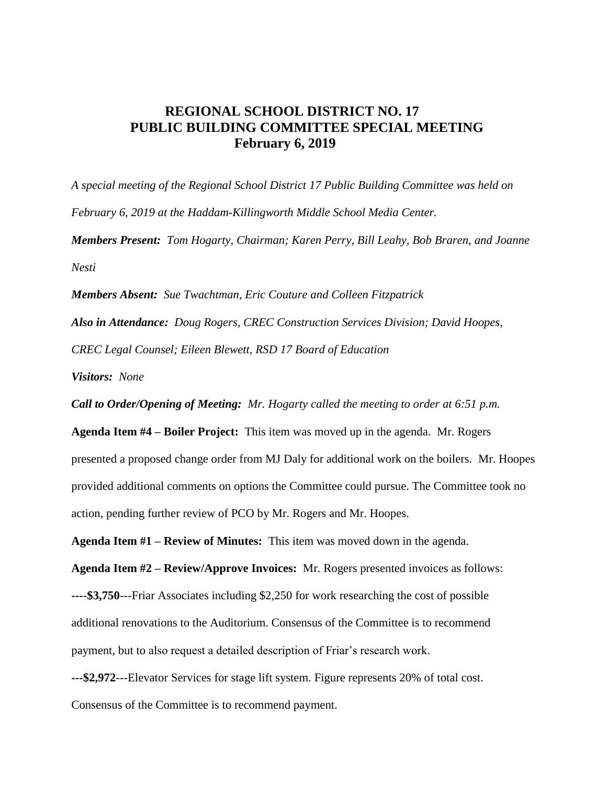## **REGIONAL SCHOOL DISTRICT NO. 17 PUBLIC BUILDING COMMITTEE SPECIAL MEETING February 6, 2019**

*A special meeting of the Regional School District 17 Public Building Committee was held on February 6, 2019 at the Haddam-Killingworth Middle School Media Center. Members Present: Tom Hogarty, Chairman; Karen Perry, Bill Leahy, Bob Braren, and Joanne Nesti*

*Members Absent: Sue Twachtman, Eric Couture and Colleen Fitzpatrick*

*Also in Attendance: Doug Rogers, CREC Construction Services Division; David Hoopes, CREC Legal Counsel; Eileen Blewett, RSD 17 Board of Education*

*Visitors: None*

*Call to Order/Opening of Meeting: Mr. Hogarty called the meeting to order at 6:51 p.m.* 

**Agenda Item #4 – Boiler Project:** This item was moved up in the agenda. Mr. Rogers presented a proposed change order from MJ Daly for additional work on the boilers. Mr. Hoopes provided additional comments on options the Committee could pursue. The Committee took no action, pending further review of PCO by Mr. Rogers and Mr. Hoopes.

**Agenda Item #1 – Review of Minutes:** This item was moved down in the agenda.

**Agenda Item #2 – Review/Approve Invoices:** Mr. Rogers presented invoices as follows: **----\$3,750**---Friar Associates including \$2,250 for work researching the cost of possible additional renovations to the Auditorium. Consensus of the Committee is to recommend payment, but to also request a detailed description of Friar's research work.

**---\$2,972**---Elevator Services for stage lift system. Figure represents 20% of total cost.

Consensus of the Committee is to recommend payment.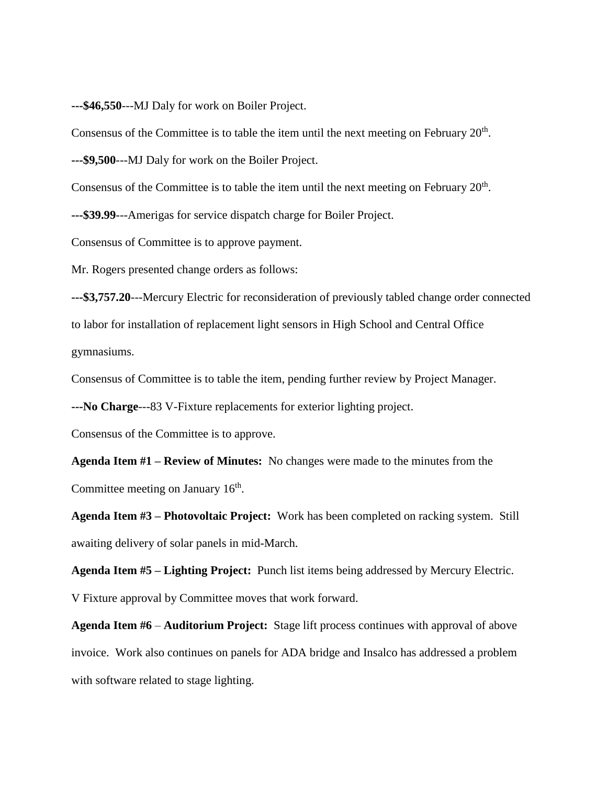**---\$46,550**---MJ Daly for work on Boiler Project.

Consensus of the Committee is to table the item until the next meeting on February  $20<sup>th</sup>$ .

**---\$9,500**---MJ Daly for work on the Boiler Project.

Consensus of the Committee is to table the item until the next meeting on February  $20<sup>th</sup>$ .

**---\$39.99**---Amerigas for service dispatch charge for Boiler Project.

Consensus of Committee is to approve payment.

Mr. Rogers presented change orders as follows:

**---\$3,757.20**---Mercury Electric for reconsideration of previously tabled change order connected to labor for installation of replacement light sensors in High School and Central Office gymnasiums.

Consensus of Committee is to table the item, pending further review by Project Manager.

**---No Charge**---83 V-Fixture replacements for exterior lighting project.

Consensus of the Committee is to approve.

**Agenda Item #1 – Review of Minutes:** No changes were made to the minutes from the Committee meeting on January  $16<sup>th</sup>$ .

**Agenda Item #3 – Photovoltaic Project:** Work has been completed on racking system. Still awaiting delivery of solar panels in mid-March.

**Agenda Item #5 – Lighting Project:** Punch list items being addressed by Mercury Electric. V Fixture approval by Committee moves that work forward.

**Agenda Item #6** – **Auditorium Project:** Stage lift process continues with approval of above invoice. Work also continues on panels for ADA bridge and Insalco has addressed a problem with software related to stage lighting.